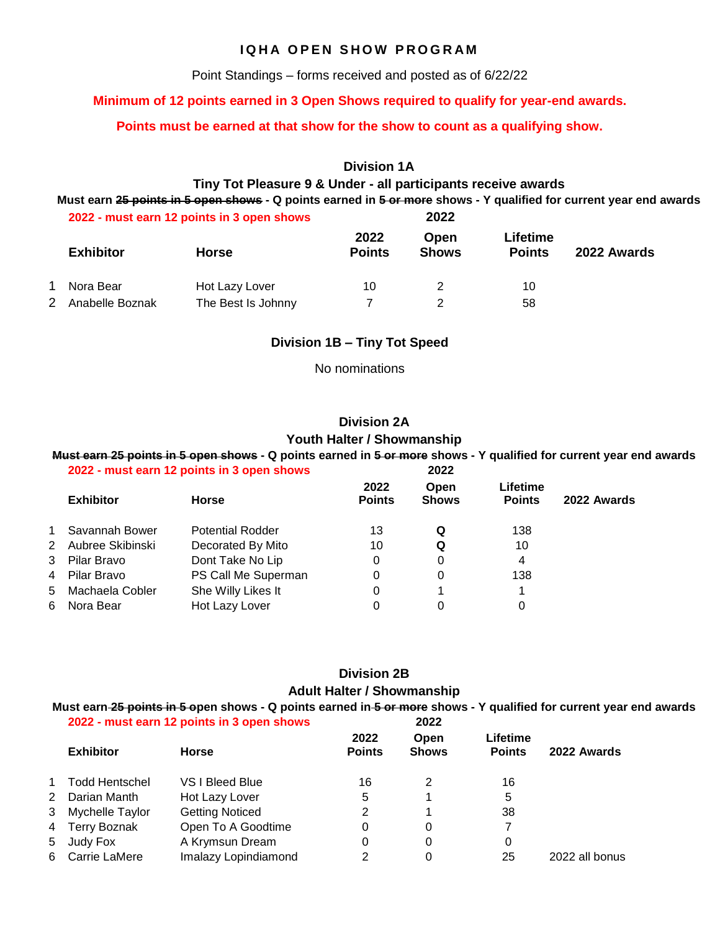### **IQHA OPEN SHOW PROGRAM**

Point Standings – forms received and posted as of 6/22/22

### **Minimum of 12 points earned in 3 Open Shows required to qualify for year-end awards.**

### **Points must be earned at that show for the show to count as a qualifying show.**

### **Division 1A**

### **Tiny Tot Pleasure 9 & Under - all participants receive awards**

**Must earn 25 points in 5 open shows - Q points earned in 5 or more shows - Y qualified for current year end awards**

| 2022 - must earn 12 points in 3 open shows |                    | 2022                  |                      |                           |             |  |
|--------------------------------------------|--------------------|-----------------------|----------------------|---------------------------|-------------|--|
| <b>Exhibitor</b>                           | <b>Horse</b>       | 2022<br><b>Points</b> | Open<br><b>Shows</b> | Lifetime<br><b>Points</b> | 2022 Awards |  |
| Nora Bear                                  | Hot Lazy Lover     | 10                    |                      | 10                        |             |  |
| Anabelle Boznak                            | The Best Is Johnny |                       |                      | 58                        |             |  |

### **Division 1B – Tiny Tot Speed**

No nominations

### **Division 2A Youth Halter / Showmanship**

### **Must earn 25 points in 5 open shows - Q points earned in 5 or more shows - Y qualified for current year end awards 2022 - must earn 12 points in 3 open shows 2022**

|             |                  | $\sim$                  |                       |                             |                           |             |
|-------------|------------------|-------------------------|-----------------------|-----------------------------|---------------------------|-------------|
|             | <b>Exhibitor</b> | <b>Horse</b>            | 2022<br><b>Points</b> | <b>Open</b><br><b>Shows</b> | Lifetime<br><b>Points</b> | 2022 Awards |
| $\mathbf 1$ | Savannah Bower   | <b>Potential Rodder</b> | 13                    | Q                           | 138                       |             |
| $2^{\circ}$ | Aubree Skibinski | Decorated By Mito       | 10                    | Q                           | 10                        |             |
| 3           | Pilar Bravo      | Dont Take No Lip        | 0                     | 0                           | 4                         |             |
|             | 4 Pilar Bravo    | PS Call Me Superman     | 0                     | 0                           | 138                       |             |
| 5           | Machaela Cobler  | She Willy Likes It      | 0                     |                             |                           |             |
| 6           | Nora Bear        | Hot Lazy Lover          | 0                     | 0                           | 0                         |             |
|             |                  |                         |                       |                             |                           |             |

### **Division 2B Adult Halter / Showmanship**

#### **Must earn 25 points in 5 open shows - Q points earned in 5 or more shows - Y qualified for current year end awards 2022 - must earn 12 points in 3 open shows 2022**

|                  | <b>2022 - Must earn 12 points in 3 open shows</b> |                        | ZUZZ                  |                             |                           |                |  |
|------------------|---------------------------------------------------|------------------------|-----------------------|-----------------------------|---------------------------|----------------|--|
| <b>Exhibitor</b> |                                                   | <b>Horse</b>           | 2022<br><b>Points</b> | <b>Open</b><br><b>Shows</b> | Lifetime<br><b>Points</b> | 2022 Awards    |  |
| $1 \quad$        | <b>Todd Hentschel</b>                             | VS I Bleed Blue        | 16                    | 2                           | 16                        |                |  |
|                  | 2 Darian Manth                                    | Hot Lazy Lover         | 5                     |                             | 5                         |                |  |
|                  | 3 Mychelle Taylor                                 | <b>Getting Noticed</b> | 2                     |                             | 38                        |                |  |
|                  | 4 Terry Boznak                                    | Open To A Goodtime     | 0                     | 0                           |                           |                |  |
|                  | 5 Judy Fox                                        | A Krymsun Dream        | 0                     | 0                           | 0                         |                |  |
|                  | 6 Carrie LaMere                                   | Imalazy Lopindiamond   | 2                     | 0                           | 25                        | 2022 all bonus |  |
|                  |                                                   |                        |                       |                             |                           |                |  |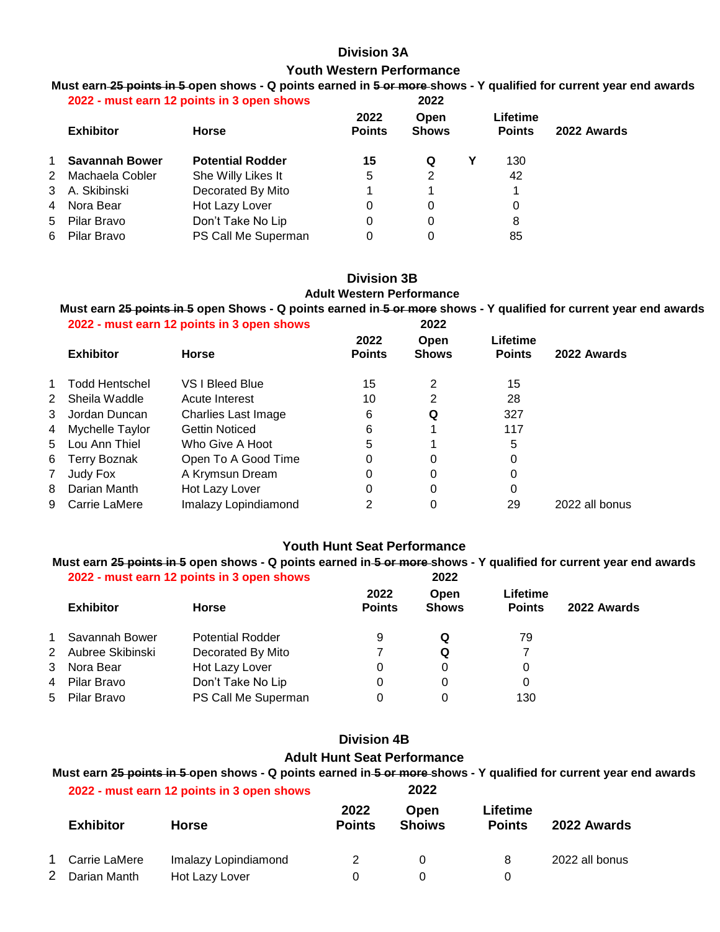### **Division 3A Youth Western Performance**

#### **Must earn 25 points in 5 open shows - Q points earned in 5 or more shows - Y qualified for current year end awards 2022 - must earn 12 points in 3 open shows 2022**

| 2022 - must earn 12 points in 3 open snows |                         | ZUZZ                  |                      |  |                           |             |  |
|--------------------------------------------|-------------------------|-----------------------|----------------------|--|---------------------------|-------------|--|
| <b>Exhibitor</b>                           | <b>Horse</b>            | 2022<br><b>Points</b> | Open<br><b>Shows</b> |  | Lifetime<br><b>Points</b> | 2022 Awards |  |
| 1 Savannah Bower                           | <b>Potential Rodder</b> | 15                    | Q                    |  | 130                       |             |  |
| 2 Machaela Cobler                          | She Willy Likes It      | 5                     | 2                    |  | 42                        |             |  |
| 3 A. Skibinski                             | Decorated By Mito       |                       |                      |  |                           |             |  |
| 4 Nora Bear                                | Hot Lazy Lover          | 0                     | 0                    |  | 0                         |             |  |
| 5 Pilar Bravo                              | Don't Take No Lip       | 0                     | 0                    |  | 8                         |             |  |
| 6 Pilar Bravo                              | PS Call Me Superman     | 0                     | 0                    |  | 85                        |             |  |
|                                            |                         |                       |                      |  |                           |             |  |

## **Division 3B Adult Western Performance**

**Must earn 25 points in 5 open Shows - Q points earned in 5 or more shows - Y qualified for current year end awards 2022 - must earn 12 points in 3 open shows 2022**

|              | <b>Exhibitor</b>    | <b>Horse</b>          | 2022<br><b>Points</b> | Open<br><b>Shows</b> | Lifetime<br><b>Points</b> | 2022 Awards    |
|--------------|---------------------|-----------------------|-----------------------|----------------------|---------------------------|----------------|
| $\mathbf 1$  | Todd Hentschel      | VS I Bleed Blue       | 15                    | 2                    | 15                        |                |
| 2            | Sheila Waddle       | Acute Interest        | 10                    | 2                    | 28                        |                |
| 3            | Jordan Duncan       | Charlies Last Image   | 6                     | Q                    | 327                       |                |
| 4            | Mychelle Taylor     | <b>Gettin Noticed</b> | 6                     |                      | 117                       |                |
|              | 5 Lou Ann Thiel     | Who Give A Hoot       | 5                     |                      | 5                         |                |
| 6            | <b>Terry Boznak</b> | Open To A Good Time   | 0                     | 0                    | 0                         |                |
| $\mathbf{7}$ | Judy Fox            | A Krymsun Dream       | 0                     | 0                    | 0                         |                |
| 8            | Darian Manth        | Hot Lazy Lover        | 0                     | 0                    | 0                         |                |
| 9            | Carrie LaMere       | Imalazy Lopindiamond  | 2                     | 0                    | 29                        | 2022 all bonus |
|              |                     |                       |                       |                      |                           |                |

### **Youth Hunt Seat Performance**

**Must earn 25 points in 5 open shows - Q points earned in 5 or more shows - Y qualified for current year end awards 2022 - must earn 12 points in 3 open shows 2022**

|             | <b>Exhibitor</b> | <b>Horse</b>            | 2022<br><b>Points</b> | Open<br><b>Shows</b> | Lifetime<br><b>Points</b> | 2022 Awards |
|-------------|------------------|-------------------------|-----------------------|----------------------|---------------------------|-------------|
| 1           | Savannah Bower   | <b>Potential Rodder</b> | 9                     | Q                    | 79                        |             |
| $2^{\circ}$ | Aubree Skibinski | Decorated By Mito       |                       | Q                    |                           |             |
| 3           | Nora Bear        | Hot Lazy Lover          | 0                     | 0                    | 0                         |             |
| 4           | Pilar Bravo      | Don't Take No Lip       | 0                     | 0                    | 0                         |             |
|             | 5 Pilar Bravo    | PS Call Me Superman     | 0                     | 0                    | 130                       |             |

### **Division 4B Adult Hunt Seat Performance**

### **Must earn 25 points in 5 open shows - Q points earned in 5 or more shows - Y qualified for current year end awards 2022 - must earn 12 points in 3 open shows 2022**

|    | <b>Exhibitor</b> | <b>Horse</b>         | 2022<br><b>Points</b> | <b>Open</b><br><b>Shoiws</b> | Lifetime<br><b>Points</b> | 2022 Awards    |
|----|------------------|----------------------|-----------------------|------------------------------|---------------------------|----------------|
|    | 1 Carrie LaMere  | Imalazy Lopindiamond |                       | $\Omega$                     | 8                         | 2022 all bonus |
| 2. | Darian Manth     | Hot Lazy Lover       |                       |                              |                           |                |